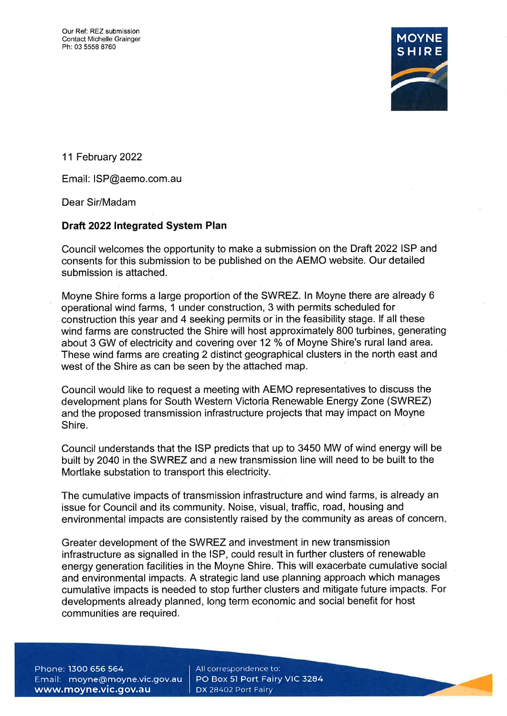

11 February2022

Email: ISP@aemo.com.au

Dear Sir/Madam

# Draft 2022 Integrated System Plan

Council welcomes the opportunity to make a submission on the Draft 2022lSP and consents for this submission to be published on the AEMO website. Our detailed submission is attached.

Moyne Shire forms a large proportion of the SWREZ. ln Moyne there are already 6 operational wind farms, 1 under construction, 3 with permits scheduled for construction this year and 4 seeking permits or in the feasibility stage. lf all these wind farms are constructed the Shire will host approximately 800 turbines, generating about 3 GW of electricity and covering over 12 % of Moyne Shire's rural land area. These wind farms are creating 2 distinct geographical clusters in the north east and west of the Shire as can be seen by the attached map.

Council would like to request a meeting with AEMO representatives to discuss the development plans for South Western Victoria Renewable Energy Zone (SWREZ) and the proposed transmission infrastructure projects that may impact on Moyne Shire.

Council understands that the ISP predicts that up to 3450 MW of wind energy will be built by 2040 in the SWREZ and a new transmission line will need to be built to the Mortlake substation to transport this electricity.

The cumulative impacts of transmission infrastructure and wind farms, is already an issue for Council and its community. Noise, visual, traffic, road, housing and environmental impacts are consistently raised by the community as areas of concern

Greater development of the SWREZ and investment in new transmission infrastructure as signalled in the lSP, could result in further clusters of renewable energy generation facilities in the Moyne Shire. This will exacerbate cumulative social and environmental impacts. A strategic land use planning approach which manages cumulative impacts is needed to stop further clusters and mitigate future impacts. For developments already planned, long term economic and social benefit for host communities are required.

Phone: 1300 656 564 Email: moyne@moyne.vic.gov.au www.moyne.vic.gov.au

All correspondence to: PO Box 51 Port Fairy VIC 3284 DX 28402 Port Fairy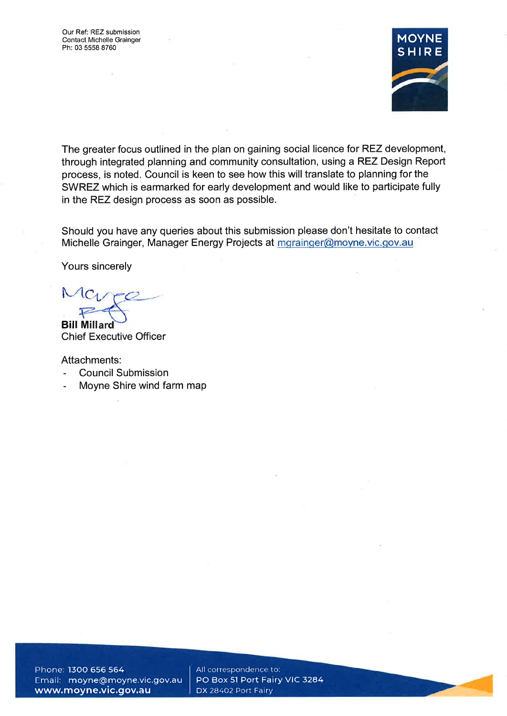

The greater focus outlined in the plan on gaining social licence for REZ development, through integrated planning and community consultation, using a REZ Design Report process, is noted. Council is keen to see how this will translate to planning for the SWREZ which is earmarked for early development and would like to participate fully in the REZ design process as soon as possible.

Should you have any queries about this submission please don't hesitate to contact Michelle Grainger, Manager Energy Projects at mgrainger@moyne.vic.gov.au

Yours sincerely

**Bill Millard** Chief Executive Officer

Attachments:

- Council Submission
- Moyne Shire wind farm map

Phone: l3OO 656 564 Email: moyne@moyne.vic.gov.au www.moyne.vic.gov.au

All correspondence to: PO Box 51 Port Fairy VIC 3284 DX 28402 Port Fairy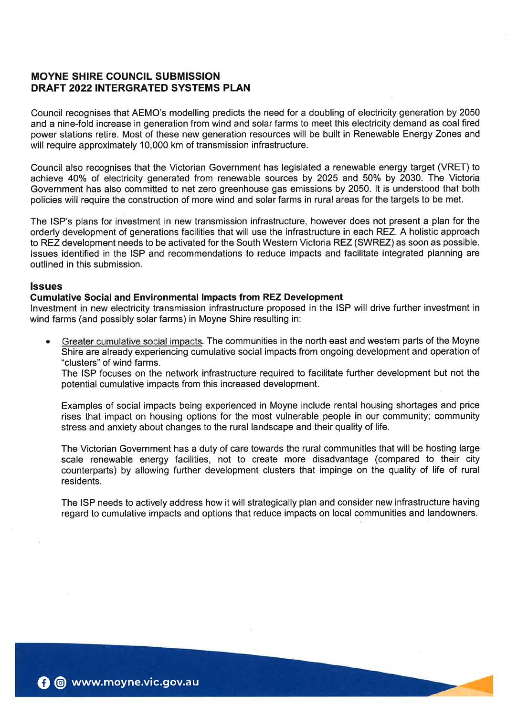# MOYNE SHIRE COUNCIL SUBMISSION DRAFT 2022 INTERGRATED SYSTEMS PLAN

Council recognises that AEMO's modelling predicts the need for a doubling of electricity generation by 2050 and a nine-fold increase in generation from wind and solar farms to meet this electricity demand as coal fired power stations retire. Most of these new generation resources will be built in Renewable Energy Zones and will require approximately 10,000 km of transmission infrastructure.

Council also recognises that the Victorian Government has legislated a renewable energy target (VRET) to achieve 40% of electricity generated from renewable sources by 2025 and 50% by 2030. The Victoria Government has also committed to net zero greenhouse gas emissions by 2050. lt is understood that both policies will require the construction of more wind and solar farms in rural areas for the targets to be met.

The ISP's plans for investment in new transmission infrastructure, however does not present a plan for the orderly development of generations facilities that will use the infrastructure in each REZ. A holistic approach to REZ development needs to be activated for the South Western Victoria REZ (SWREZ) as soon as possible. lssues identified in the ISP and recommendations to reduce impacts and facilitate integrated planning are outlined in this submission.

# lssues

# Gumulative Social and Environmental lmpacts from REZ Development

lnvestment in new electricity transmission infrastructure proposed in the ISP will drive further investment in wind farms (and possibly solar farms) in Moyne Shire resulting in:

Greater cumulative social impacts. The communities in the north east and western parts of the Moyne Shire are already experiencing cumulative social impacts from ongoing development and operation of "clusters" of wind farms. a

The ISP focuses on the network infrastructure required to facilitate further development but not the potential cumulative impacts from this increased development.

Examples of social impacts being experienced in Moyne include rental housing shortages and price rises that impact on housing options for the most vulnerable people in our community; community stress and anxiety about changes to the rural landscape and their quality of life.

The Victorian Government has a duty of care towards the rural communities that will be hosting large scale renewable energy facilities, not to create more disadvantage (compared to their city counterparts) by allowing further development clusters that impinge on the quality of life of rural residents.

The ISP needs to actively address how it will strategically plan and consider new infrastructure having regard to cumulative impacts and options that reduce impacts on local communities and landowners.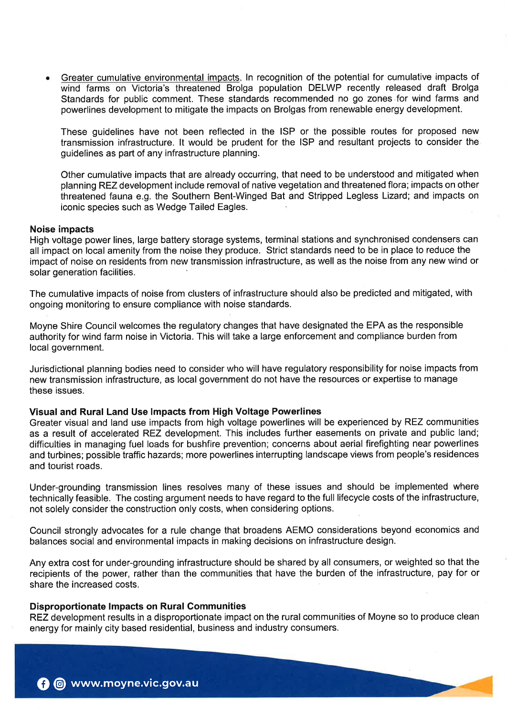Greater cumulative environmental impacts. In recognition of the potential for cumulative impacts of wind farms on Victoria's threatened Brolga population DELWP recently released draft Brolga Standards for public comment. These standards recommended no go zones for wind farms and powerlines development to mitigate the impacts on Brolgas from renewable energy development.

These guidelines have not been reflected in the ISP or the possible routes for proposed new transmission infrastructure. lt would be prudent for the ISP and resultant projects to consider the guidelines as part of any infrastructure planning.

Other cumulative impacts that are already occurring, that need to be understood and mitigated when planning REZ development include removal of native vegetation and threatened flora; impacts on other threatened fauna e.g. the Southern Bent-Winged Bat and Stripped Legless Lizard; and impacts on iconic species such as Wedge Tailed Eagles.

## Noise impacts

High voltage power lines, large battery storage systems, terminal stations and synchronised condensers can all impact on local amenity from the noise they produce. Strict standards need to be in place to reduce the impact of noise on residents from new transmission infrastructure, as well as the noise from any new wind or solar generation facilities.

The cumulative impacts of noise from clusters of infrastructure should also be predicted and mitigated, with ongoing monitoring to ensure compliance with noise standards.

Moyne Shire Council welcomes the regulatory changes that have designated the EPA as the responsible authority for wind farm noise in Victoria. This will take a large enforcement and compliance burden from local government.

Jurisdictional planning bodies need to consider who will have regulatory responsibility for noise impacts from new transmission infrastructure, as local government do not have the resources or expertise to manage these issues.

# Visual and Rural Land Use lmpacts from High Voltage Powerlines

Greater visual and land use impacts from high voltage powerlines will be experienced by REZ communities as a result of accelerated REZ development. This includes further easements on private and public land; difficulties in managing fuel loads for bushfire prevention; concerns about aerial firefighting near powerlines and turbines; possible traffic hazards; more powerlines interrupting landscape views from people's residences and tourist roads.

Under-grounding transmission lines resolves many of these issues and should be implemented where technically feasible. The costing argument needs to have regard to the full lifecycle costs of the infrastructure, not solely consider the construction only costs, when considering options.

Council strongly advocates for a rule change that broadens AEMO considerations beyond economics and balances social and environmental impacts in making decisions on infrastructure design.

Any extra cost for under-grounding infrastructure should be shared by all consumers, or weighted so that the recipients of the power, rather than the communities that have the burden of the infrastructure, pay for or share the increased costs.

#### Disproportionate lmpacts on Rural Gommunities

REZ development results in a disproportionate impact on the rural communities of Moyne so to produce clean energy for mainly city based residential, business and industry consumers.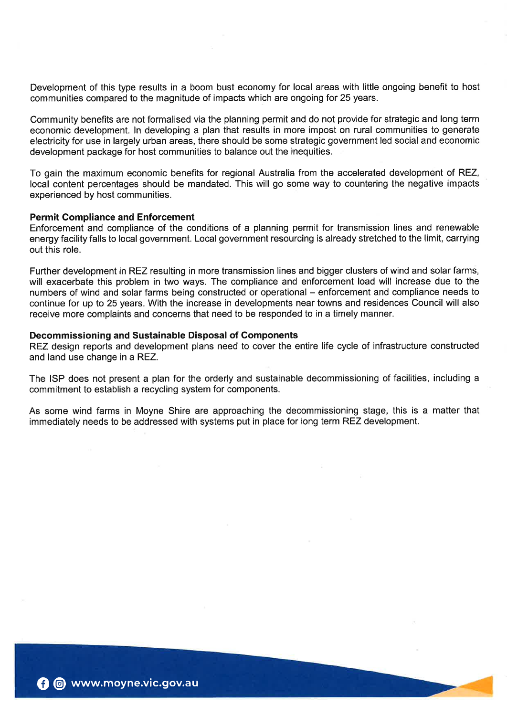Development of this type results in a boom bust economy for local areas with little ongoing benefit to host communities compared to the magnitude of impacts which are ongoing for 25 years.

Community benefits are not formalised via the planning permit and do not provide for strategic and long term economic development. ln developing a plan that results in more impost on rural communities to generate electricity for use in largely urban areas, there should be some strategic government led social and economic development package for host communities to balance out the inequities.

To gain the maximum economic benefits for regional Australia from the accelerated development of REZ, local content percentages should be mandated. This will go some way to countering the negative impacts experienced by host communities.

#### Permit Compliance and Enforcement

Enforcement and compliance of the conditions of a planning permit for transmission lines and renewable energy facility falls to local government. Local government resourcing is already stretched to the limit, carrying out this role.

Further development in REZ resulting in more transmission lines and bigger clusters of wind and solar farms, will exacerbate this problem in two ways. The compliance and enforcement load will increase due to the numbers of wind and solar farms being constructed or operational - enforcement and compliance needs to continue for up to 25 years. With the increase in developments near towns and residences Council will also receive more complaints and concerns that need to be responded to in a timely manner.

# Decommissioning and Sustainable Disposal of Gomponents

REZ design reports and development plans need to cover the entire life cycle of infrastructure constructed and land use change in a REZ.

The ISP does not present a plan for the orderly and sustainable decommissioning of facilities, including a commitment to establish a recycling system for components.

As some wind farms in Moyne Shire are approaching the decommissioning stage, this is a matter that immediately needs to be addressed with systems put in place for long term REZ development.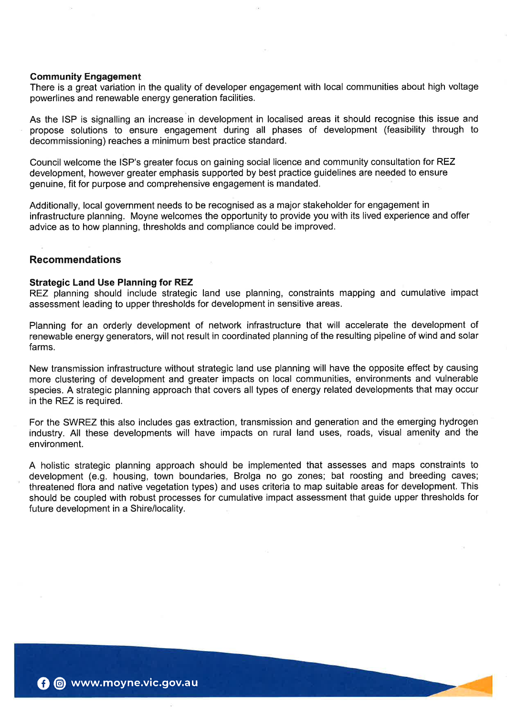#### Community Engagement

There is a great variation in the quality of developer engagement with local communities about high voltage powerlines and renewable energy generation facilities.

As the ISP is signalling an increase in development in localised areas it should recognise this issue and propose solutions to ensure engagement during all phases of development (feasibility through to decommissioning) reaches a minimum best practice standard.

Council welcome the ISP's greater focus on gaining social licence and community consultation for REZ development, however greater emphasis supported by best practice guidelines are needed to ensure genuine, fit for purpose and comprehensive engagement is mandated.

Additionally, local government needs to be recognised as a major stakeholder for engagement in infrastructure planning. Moyne welcomes the opportunity to provide you with its lived experience and offer advice as to how planning, thresholds and compliance could be improved.

# Recommendations

#### Strategic Land Use Planning for REZ

REZ planning should include strategic land use planning, constraints mapping and cumulative impact assessment leading to upper thresholds for development in sensitive areas.

Planning for an orderly development of network infrastructure that will accelerate the development of renewable energy generators, will not result in coordinated planning of the resulting pipeline of wind and solar farms.

New transmission infrastructure without strategic land use planning will have the opposite effect by causing more clustering of development and greater impacts on local communities, environments and vulnerable species. A strategic planning approach that covers all types of energy related developments that may occur in the REZ is required.

For the SWREZ this also includes gas extraction, transmission and generation and the emerging hydrogen industry. All these developments will have impacts on rural land uses, roads, visual amenity and the environment.

A holistic strategic planning approach should be implemented that assesses and maps constraints to development (e.9. housing, town boundaries, Brolga no go zones; bat roosting and breeding caves; threatened flora and native vegetation types) and uses criteria to map suitable areas for development. This should be coupled with robust processes for cumulative impact assessment that guide upper thresholds for future development in a Shire/locality.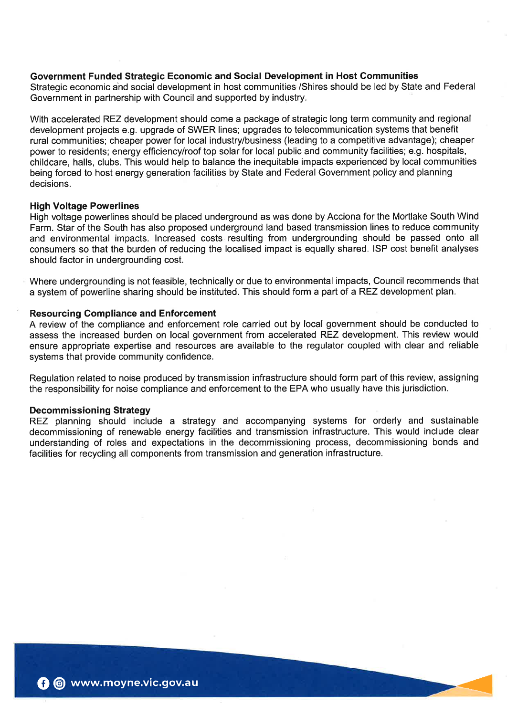## Government Funded Strategic Economic and Social Development in Host Communities

Strategic economic and social development in host communities /Shires should be led by State and Federal Government in partnership with Council and supported by industry.

With accelerated REZ development should come a package of strategic long term community and regional development projects e.g. upgrade of SWER lines; upgrades to telecommunication systems that benefit rural communities; cheaper power for local industry/business (leading to a competitive advantage); cheaper power to residents; energy efficiency/roof top solar for local public and community facilities; e.g. hospitals, childcare, halls, clubs. This would help to balance the inequitable impacts experienced by local communities being forced to host energy generation facilities by State and Federal Government policy and planning decisions.

#### High Voltage Powerlines

High voltage powerlines should be placed underground as was done by Acciona for the Mortlake South Wind Farm. Star of the South has also proposed underground land based transmission lines to reduce community and environmental impacts. lncreased costs resulting from undergrounding should be passed onto all consumers so that the burden of reducing the localised impact is equally shared. ISP cost benefit analyses should factor in undergrounding cost.

Where undergrounding is not feasible, technically or due to environmental impacts, Council recommends that a system of powerline sharing should be instituted. This should form a part of a REZ development plan.

## Resourcing Gompliance and Enforcement

A review of the compliance and enforcement role carried out by local government should be conducted to assess the increased burden on local government from accelerated REZ development. This review would ensure appropriate expertise and resources are available to the regulator coupled with clear and reliable systems that provide community confidence.

Regulation related to noise produced by transmission infrastructure should form part of this review, assigning the responsibility for noise compliance and enforcement to the EPA who usually have this jurisdiction.

## Decommissioning Strategy

REZ planning should include a strategy and accompanying systems for orderly and sustainable decommissioning of renewable energy facilities and transmission infrastructure. This would include clear understanding of roles and expectations in the decommissioning process, decommissioning bonds and facilities for recycling all components from transmission and generation infrastructure.